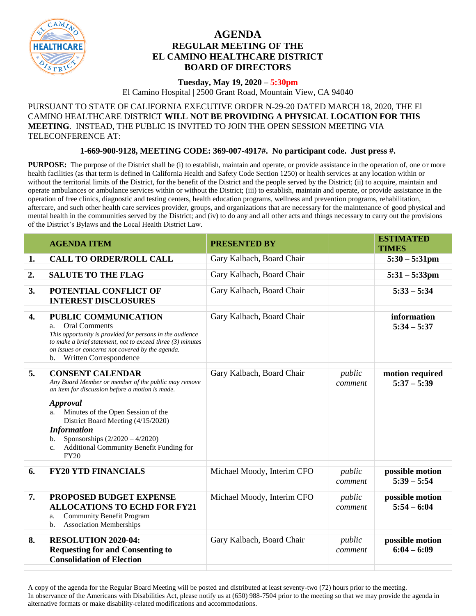

## **AGENDA REGULAR MEETING OF THE EL CAMINO HEALTHCARE DISTRICT BOARD OF DIRECTORS**

## **Tuesday, May 19, 2020 – 5:30pm**

El Camino Hospital | 2500 Grant Road, Mountain View, CA 94040

## PURSUANT TO STATE OF CALIFORNIA EXECUTIVE ORDER N-29-20 DATED MARCH 18, 2020, THE El CAMINO HEALTHCARE DISTRICT **WILL NOT BE PROVIDING A PHYSICAL LOCATION FOR THIS MEETING**. INSTEAD, THE PUBLIC IS INVITED TO JOIN THE OPEN SESSION MEETING VIA TELECONFERENCE AT:

## **1-669-900-9128, MEETING CODE: 369-007-4917#. No participant code. Just press #.**

**PURPOSE:** The purpose of the District shall be (i) to establish, maintain and operate, or provide assistance in the operation of, one or more health facilities (as that term is defined in California Health and Safety Code Section 1250) or health services at any location within or without the territorial limits of the District, for the benefit of the District and the people served by the District; (ii) to acquire, maintain and operate ambulances or ambulance services within or without the District; (iii) to establish, maintain and operate, or provide assistance in the operation of free clinics, diagnostic and testing centers, health education programs, wellness and prevention programs, rehabilitation, aftercare, and such other health care services provider, groups, and organizations that are necessary for the maintenance of good physical and mental health in the communities served by the District; and (iv) to do any and all other acts and things necessary to carry out the provisions of the District's Bylaws and the Local Health District Law.

|                  | <b>AGENDA ITEM</b>                                                                                                                                                                                                                                                                                                                                                               | <b>PRESENTED BY</b>        |                   | <b>ESTIMATED</b><br><b>TIMES</b> |
|------------------|----------------------------------------------------------------------------------------------------------------------------------------------------------------------------------------------------------------------------------------------------------------------------------------------------------------------------------------------------------------------------------|----------------------------|-------------------|----------------------------------|
| 1.               | <b>CALL TO ORDER/ROLL CALL</b>                                                                                                                                                                                                                                                                                                                                                   | Gary Kalbach, Board Chair  |                   | $5:30 - 5:31$ pm                 |
| 2.               | <b>SALUTE TO THE FLAG</b>                                                                                                                                                                                                                                                                                                                                                        | Gary Kalbach, Board Chair  |                   | $5:31 - 5:33$ pm                 |
| 3.               | POTENTIAL CONFLICT OF<br><b>INTEREST DISCLOSURES</b>                                                                                                                                                                                                                                                                                                                             | Gary Kalbach, Board Chair  |                   | $5:33 - 5:34$                    |
| $\overline{4}$ . | PUBLIC COMMUNICATION<br><b>Oral Comments</b><br>a.<br>This opportunity is provided for persons in the audience<br>to make a brief statement, not to exceed three $(3)$ minutes<br>on issues or concerns not covered by the agenda.<br>Written Correspondence<br>$\mathbf{b}$ .                                                                                                   | Gary Kalbach, Board Chair  |                   | information<br>$5:34 - 5:37$     |
| 5.               | <b>CONSENT CALENDAR</b><br>Any Board Member or member of the public may remove<br>an item for discussion before a motion is made.<br><b>Approval</b><br>Minutes of the Open Session of the<br>a.<br>District Board Meeting (4/15/2020)<br><b>Information</b><br>Sponsorships $(2/2020 - 4/2020)$<br>b.<br>Additional Community Benefit Funding for<br>$c_{\cdot}$<br><b>FY20</b> | Gary Kalbach, Board Chair  | public<br>comment | motion required<br>$5:37 - 5:39$ |
| 6.               | <b>FY20 YTD FINANCIALS</b>                                                                                                                                                                                                                                                                                                                                                       | Michael Moody, Interim CFO | public<br>comment | possible motion<br>$5:39 - 5:54$ |
| 7.               | PROPOSED BUDGET EXPENSE<br><b>ALLOCATIONS TO ECHD FOR FY21</b><br><b>Community Benefit Program</b><br>a.<br><b>Association Memberships</b><br>b.                                                                                                                                                                                                                                 | Michael Moody, Interim CFO | public<br>comment | possible motion<br>$5:54 - 6:04$ |
| 8.               | <b>RESOLUTION 2020-04:</b><br><b>Requesting for and Consenting to</b><br><b>Consolidation of Election</b>                                                                                                                                                                                                                                                                        | Gary Kalbach, Board Chair  | public<br>comment | possible motion<br>$6:04 - 6:09$ |

A copy of the agenda for the Regular Board Meeting will be posted and distributed at least seventy-two (72) hours prior to the meeting. In observance of the Americans with Disabilities Act, please notify us at (650) 988-7504 prior to the meeting so that we may provide the agenda in alternative formats or make disability-related modifications and accommodations.